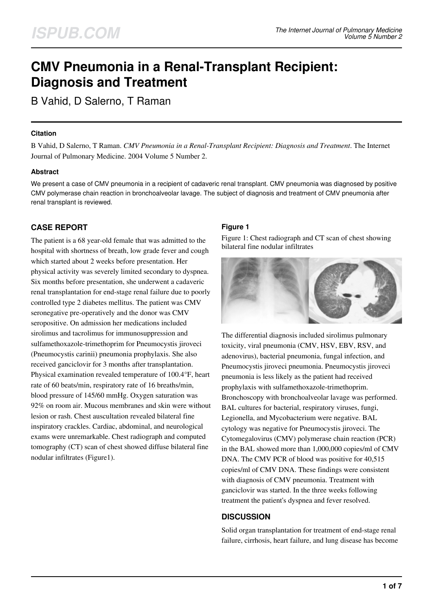# **CMV Pneumonia in a Renal-Transplant Recipient: Diagnosis and Treatment**

B Vahid, D Salerno, T Raman

#### **Citation**

B Vahid, D Salerno, T Raman. *CMV Pneumonia in a Renal-Transplant Recipient: Diagnosis and Treatment*. The Internet Journal of Pulmonary Medicine. 2004 Volume 5 Number 2.

## **Abstract**

We present a case of CMV pneumonia in a recipient of cadaveric renal transplant. CMV pneumonia was diagnosed by positive CMV polymerase chain reaction in bronchoalveolar lavage. The subject of diagnosis and treatment of CMV pneumonia after renal transplant is reviewed.

# **CASE REPORT**

The patient is a 68 year-old female that was admitted to the hospital with shortness of breath, low grade fever and cough which started about 2 weeks before presentation. Her physical activity was severely limited secondary to dyspnea. Six months before presentation, she underwent a cadaveric renal transplantation for end-stage renal failure due to poorly controlled type 2 diabetes mellitus. The patient was CMV seronegative pre-operatively and the donor was CMV seropositive. On admission her medications included sirolimus and tacrolimus for immunosuppression and sulfamethoxazole-trimethoprim for Pneumocystis jiroveci (Pneumocystis carinii) pneumonia prophylaxis. She also received ganciclovir for 3 months after transplantation. Physical examination revealed temperature of 100.4°F, heart rate of 60 beats/min, respiratory rate of 16 breaths/min, blood pressure of 145/60 mmHg. Oxygen saturation was 92% on room air. Mucous membranes and skin were without lesion or rash. Chest auscultation revealed bilateral fine inspiratory crackles. Cardiac, abdominal, and neurological exams were unremarkable. Chest radiograph and computed tomography (CT) scan of chest showed diffuse bilateral fine nodular infiltrates (Figure1).

## **Figure 1**

Figure 1: Chest radiograph and CT scan of chest showing bilateral fine nodular infiltrates



The differential diagnosis included sirolimus pulmonary toxicity, viral pneumonia (CMV, HSV, EBV, RSV, and adenovirus), bacterial pneumonia, fungal infection, and Pneumocystis jiroveci pneumonia. Pneumocystis jiroveci pneumonia is less likely as the patient had received prophylaxis with sulfamethoxazole-trimethoprim. Bronchoscopy with bronchoalveolar lavage was performed. BAL cultures for bacterial, respiratory viruses, fungi, Legionella, and Mycobacterium were negative. BAL cytology was negative for Pneumocystis jiroveci. The Cytomegalovirus (CMV) polymerase chain reaction (PCR) in the BAL showed more than 1,000,000 copies/ml of CMV DNA. The CMV PCR of blood was positive for 40,515 copies/ml of CMV DNA. These findings were consistent with diagnosis of CMV pneumonia. Treatment with ganciclovir was started. In the three weeks following treatment the patient's dyspnea and fever resolved.

## **DISCUSSION**

Solid organ transplantation for treatment of end-stage renal failure, cirrhosis, heart failure, and lung disease has become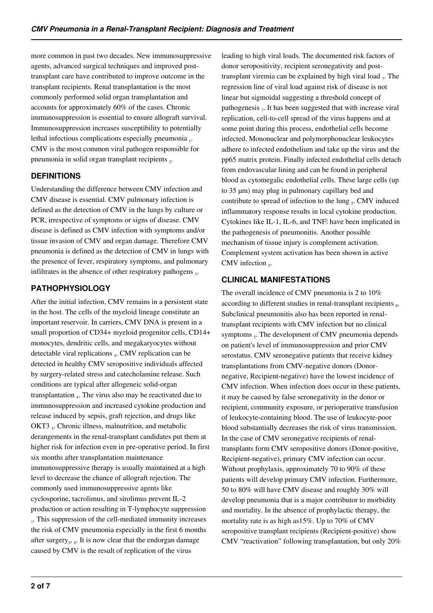more common in past two decades. New immunosuppressive agents, advanced surgical techniques and improved posttransplant care have contributed to improve outcome in the transplant recipients. Renal transplantation is the most commonly performed solid organ transplantation and accounts for approximately 60% of the cases. Chronic immunosuppression is essential to ensure allograft survival. Immunosuppression increases susceptibility to potentially lethal infectious complications especially pneumonia 1. CMV is the most common viral pathogen responsible for pneumonia in solid organ transplant recipients  $_2$ .

# **DEFINITIONS**

Understanding the difference between CMV infection and CMV disease is essential. CMV pulmonary infection is defined as the detection of CMV in the lungs by culture or PCR, irrespective of symptoms or signs of disease. CMV disease is defined as CMV infection with symptoms and/or tissue invasion of CMV and organ damage. Therefore CMV pneumonia is defined as the detection of CMV in lungs with the presence of fever, respiratory symptoms, and pulmonary infiltrates in the absence of other respiratory pathogens  $_3$ .

# **PATHOPHYSIOLOGY**

After the initial infection, CMV remains in a persistent state in the host. The cells of the myeloid lineage constitute an important reservoir. In carriers, CMV DNA is present in a small proportion of CD34+ myeloid progenitor cells, CD14+ monocytes, dendritic cells, and megakaryocytes without detectable viral replications <sub>4</sub>. CMV replication can be detected in healthy CMV seropositive individuals affected by surgery-related stress and catecholamine release. Such conditions are typical after allogeneic solid-organ transplantation <sub>4</sub>. The virus also may be reactivated due to immunosuppression and increased cytokine production and release induced by sepsis, graft rejection, and drugs like OKT3 <sub>5</sub>. Chronic illness, malnutrition, and metabolic derangements in the renal-transplant candidates put them at higher risk for infection even in pre-operative period. In first six months after transplantation maintenance immunosuppressive therapy is usually maintained at a high level to decrease the chance of allograft rejection. The commonly used immunosuppressive agents like cyclosporine, tacrolimus, and sirolimus prevent IL-2 production or action resulting in T-lymphocyte suppression 1. This suppression of the cell-mediated immunity increases the risk of CMV pneumonia especially in the first 6 months after surgery<sub>2</sub>,  $_6$ . It is now clear that the endorgan damage caused by CMV is the result of replication of the virus

leading to high viral loads. The documented risk factors of donor seropositivity, recipient seronegativity and posttransplant viremia can be explained by high viral load  $_7$ . The regression line of viral load against risk of disease is not linear but sigmoidal suggesting a threshold concept of pathogenesis  $<sub>7</sub>$ . It has been suggested that with increase viral</sub> replication, cell-to-cell spread of the virus happens and at some point during this process, endothelial cells become infected. Mononuclear and polymorphonuclear leukocytes adhere to infected endothelium and take up the virus and the pp65 matrix protein. Finally infected endothelial cells detach from endovascular lining and can be found in peripheral blood as cytomegalic endothelial cells. These large cells (up to 35 µm) may plug in pulmonary capillary bed and contribute to spread of infection to the lung  $<sub>5</sub>$ . CMV induced</sub> inflammatory response results in local cytokine production. Cytokines like IL-1, IL-6, and TNFl have been implicated in the pathogenesis of pneumonitis. Another possible mechanism of tissue injury is complement activation. Complement system activation has been shown in active CMV infection  $<sub>5</sub>$ .</sub>

# **CLINICAL MANIFESTATIONS**

The overall incidence of CMV pneumonia is 2 to 10% according to different studies in renal-transplant recipients  $_8$ . Subclinical pneumonitis also has been reported in renaltransplant recipients with CMV infection but no clinical symptoms <sub>5</sub>. The development of CMV pneumonia depends on patient's level of immunosuppression and prior CMV serostatus. CMV seronegative patients that receive kidney transplantations from CMV-negative donors (Donornegative, Recipient-negative) have the lowest incidence of CMV infection. When infection does occur in these patients, it may be caused by false seronegativity in the donor or recipient, community exposure, or perioperative transfusion of leukocyte-containing blood. The use of leukocyte-poor blood substantially decreases the risk of virus transmission. In the case of CMV seronegative recipients of renaltransplants form CMV seropositive donors (Donor-positive, Recipient-negative), primary CMV infection can occur. Without prophylaxis, approximately 70 to 90% of these patients will develop primary CMV infection. Furthermore, 50 to 80% will have CMV disease and roughly 30% will develop pneumonia that is a major contributor to morbidity and mortality. In the absence of prophylactic therapy, the mortality rate is as high as15%. Up to 70% of CMV seropositive transplant recipients (Recipient-positive) show CMV "reactivation" following transplantation, but only 20%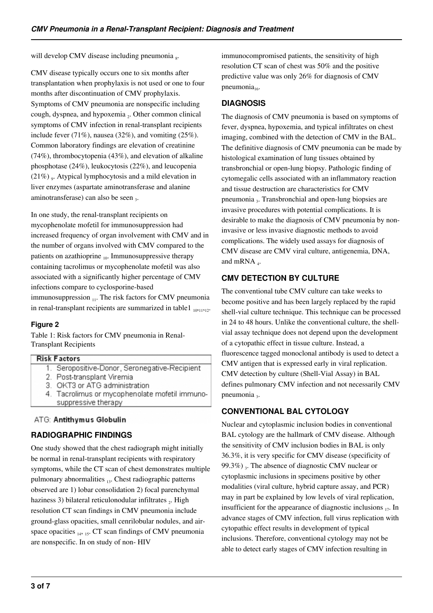will develop CMV disease including pneumonia  $_8$ .

CMV disease typically occurs one to six months after transplantation when prophylaxis is not used or one to four months after discontinuation of CMV prophylaxis. Symptoms of CMV pneumonia are nonspecific including cough, dyspnea, and hypoxemia 2. Other common clinical symptoms of CMV infection in renal-transplant recipients include fever  $(71\%)$ , nausea  $(32\%)$ , and vomiting  $(25\%)$ . Common laboratory findings are elevation of creatinine (74%), thrombocytopenia (43%), and elevation of alkaline phosphotase (24%), leukocytosis (22%), and leucopenia  $(21\%)$ <sub>9</sub>. Atypical lymphocytosis and a mild elevation in liver enzymes (aspartate aminotransferase and alanine aminotransferase) can also be seen  $_3$ .

In one study, the renal-transplant recipients on mycophenolate mofetil for immunosuppression had increased frequency of organ involvement with CMV and in the number of organs involved with CMV compared to the patients on azathioprine  $_{10}$ . Immunosuppressive therapy containing tacrolimus or mycophenolate mofetil was also associated with a significantly higher percentage of CMV infections compare to cyclosporine-based immunosuppression  $_{11}$ . The risk factors for CMV pneumonia in renal-transplant recipients are summarized in table  $1_{10,11,12}$ .

## **Figure 2**

Table 1: Risk factors for CMV pneumonia in Renal-Transplant Recipients

#### **Risk Factors**

- 1. Seropositive-Donor, Seronegative-Recipient
- 2. Post-transplant Viremia
- 3. OKT3 or ATG administration
- 4. Tacrolimus or mycophenolate mofetil immunosuppressive therapy

## ATG: Antithymus Globulin

# **RADIOGRAPHIC FINDINGS**

One study showed that the chest radiograph might initially be normal in renal-transplant recipients with respiratory symptoms, while the CT scan of chest demonstrates multiple pulmonary abnormalities 13. Chest radiographic patterns observed are 1) lobar consolidation 2) focal parenchymal haziness 3) bilateral reticulonodular infiltrates  $_2$ . High resolution CT scan findings in CMV pneumonia include ground-glass opacities, small cenrilobular nodules, and airspace opacities  $_{14}$ ,  $_{15}$ . CT scan findings of CMV pneumonia are nonspecific. In on study of non- HIV

immunocompromised patients, the sensitivity of high resolution CT scan of chest was 50% and the positive predictive value was only 26% for diagnosis of CMV pneumonia $_{16}$ .

# **DIAGNOSIS**

The diagnosis of CMV pneumonia is based on symptoms of fever, dyspnea, hypoxemia, and typical infiltrates on chest imaging, combined with the detection of CMV in the BAL. The definitive diagnosis of CMV pneumonia can be made by histological examination of lung tissues obtained by transbronchial or open-lung biopsy. Pathologic finding of cytomegalic cells associated with an inflammatory reaction and tissue destruction are characteristics for CMV pneumonia 3. Transbronchial and open-lung biopsies are invasive procedures with potential complications. It is desirable to make the diagnosis of CMV pneumonia by noninvasive or less invasive diagnostic methods to avoid complications. The widely used assays for diagnosis of CMV disease are CMV viral culture, antigenemia, DNA, and mRNA<sub>4</sub>.

# **CMV DETECTION BY CULTURE**

The conventional tube CMV culture can take weeks to become positive and has been largely replaced by the rapid shell-vial culture technique. This technique can be processed in 24 to 48 hours. Unlike the conventional culture, the shellvial assay technique does not depend upon the development of a cytopathic effect in tissue culture. Instead, a fluorescence tagged monoclonal antibody is used to detect a CMV antigen that is expressed early in viral replication. CMV detection by culture (Shell-Vial Assay) in BAL defines pulmonary CMV infection and not necessarily CMV pneumonia 3.

# **CONVENTIONAL BAL CYTOLOGY**

Nuclear and cytoplasmic inclusion bodies in conventional BAL cytology are the hallmark of CMV disease. Although the sensitivity of CMV inclusion bodies in BAL is only 36.3%, it is very specific for CMV disease (specificity of 99.3%)  $_3$ . The absence of diagnostic CMV nuclear or cytoplasmic inclusions in specimens positive by other modalities (viral culture, hybrid capture assay, and PCR) may in part be explained by low levels of viral replication, insufficient for the appearance of diagnostic inclusions  $_{17}$ . In advance stages of CMV infection, full virus replication with cytopathic effect results in development of typical inclusions. Therefore, conventional cytology may not be able to detect early stages of CMV infection resulting in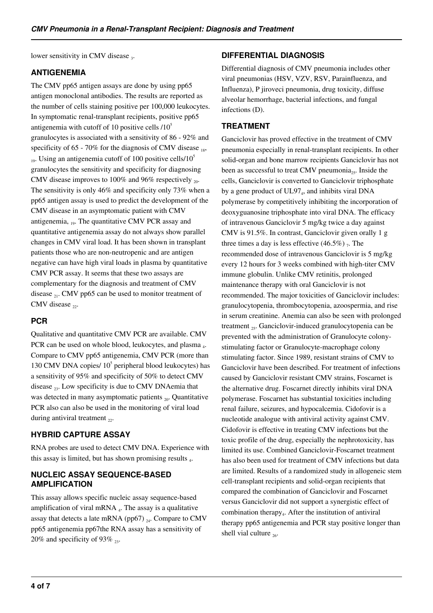lower sensitivity in CMV disease  $_3$ .

#### **ANTIGENEMIA**

The CMV pp65 antigen assays are done by using pp65 antigen monoclonal antibodies. The results are reported as the number of cells staining positive per 100,000 leukocytes. In symptomatic renal-transplant recipients, positive pp65 antigenemia with cutoff of 10 positive cells  $/10^5$ granulocytes is associated with a sensitivity of 86 - 92% and specificity of 65 - 70% for the diagnosis of CMV disease  $_{18}$ ,  $_{19}$ . Using an antigenemia cutoff of 100 positive cells/10<sup>5</sup> granulocytes the sensitivity and specificity for diagnosing CMV disease improves to 100% and 96% respectively  $_{20}$ . The sensitivity is only 46% and specificity only 73% when a pp65 antigen assay is used to predict the development of the CMV disease in an asymptomatic patient with CMV antigenemia,  $_{19}$ . The quantitative CMV PCR assay and quantitative antigenemia assay do not always show parallel changes in CMV viral load. It has been shown in transplant patients those who are non-neutropenic and are antigen negative can have high viral loads in plasma by quantitative CMV PCR assay. It seems that these two assays are complementary for the diagnosis and treatment of CMV disease  $_{21}$ . CMV pp65 can be used to monitor treatment of CMV disease  $22$ .

# **PCR**

Qualitative and quantitative CMV PCR are available. CMV PCR can be used on whole blood, leukocytes, and plasma <sub>4</sub>. Compare to CMV pp65 antigenemia, CMV PCR (more than 130 CMV DNA copies/  $10<sup>5</sup>$  peripheral blood leukocytes) has a sensitivity of 95% and specificity of 50% to detect CMV disease  $_{23}$ . Low specificity is due to CMV DNAemia that was detected in many asymptomatic patients  $_{20}$ . Quantitative PCR also can also be used in the monitoring of viral load during antiviral treatment  $_{22}$ .

# **HYBRID CAPTURE ASSAY**

RNA probes are used to detect CMV DNA. Experience with this assay is limited, but has shown promising results 4.

## **NUCLEIC ASSAY SEQUENCE-BASED AMPLIFICATION**

This assay allows specific nucleic assay sequence-based amplification of viral mRNA  $_4$ . The assay is a qualitative assay that detects a late mRNA (pp67)  $_{24}$ . Compare to CMV pp65 antigenemia pp67the RNA assay has a sensitivity of 20% and specificity of 93%  $\alpha$ .

## **DIFFERENTIAL DIAGNOSIS**

Differential diagnosis of CMV pneumonia includes other viral pneumonias (HSV, VZV, RSV, Parainfluenza, and Influenza), P jiroveci pneumonia, drug toxicity, diffuse alveolar hemorrhage, bacterial infections, and fungal infections (D).

## **TREATMENT**

Ganciclovir has proved effective in the treatment of CMV pneumonia especially in renal-transplant recipients. In other solid-organ and bone marrow recipients Ganciclovir has not been as successful to treat CMV pneumonia<sub>25</sub>. Inside the cells, Ganciclovir is converted to Ganciclovir triphosphate by a gene product of UL97<sub>4</sub>, and inhibits viral DNA polymerase by competitively inhibiting the incorporation of deoxyguanosine triphosphate into viral DNA. The efficacy of intravenous Ganciclovir 5 mg/kg twice a day against CMV is 91.5%. In contrast, Ganciclovir given orally 1 g three times a day is less effective  $(46.5\%)$ , The recommended dose of intravenous Ganciclovir is 5 mg/kg every 12 hours for 3 weeks combined with high-titer CMV immune globulin. Unlike CMV retinitis, prolonged maintenance therapy with oral Ganciclovir is not recommended. The major toxicities of Ganciclovir includes: granulocytopenia, thrombocytopenia, azoospermia, and rise in serum creatinine. Anemia can also be seen with prolonged treatment  $_{25}$ . Ganciclovir-induced granulocytopenia can be prevented with the administration of Granulocyte colonystimulating factor or Granulocyte-macrophage colony stimulating factor. Since 1989, resistant strains of CMV to Ganciclovir have been described. For treatment of infections caused by Ganciclovir resistant CMV strains, Foscarnet is the alternative drug. Foscarnet directly inhibits viral DNA polymerase. Foscarnet has substantial toxicities including renal failure, seizures, and hypocalcemia. Cidofovir is a nucleotide analogue with antiviral activity against CMV. Cidofovir is effective in treating CMV infections but the toxic profile of the drug, especially the nephrotoxicity, has limited its use. Combined Ganciclovir-Foscarnet treatment has also been used for treatment of CMV infections but data are limited. Results of a randomized study in allogeneic stem cell-transplant recipients and solid-organ recipients that compared the combination of Ganciclovir and Foscarnet versus Ganciclovir did not support a synergistic effect of combination therapy<sub>4</sub>. After the institution of antiviral therapy pp65 antigenemia and PCR stay positive longer than shell vial culture  $_{26}$ .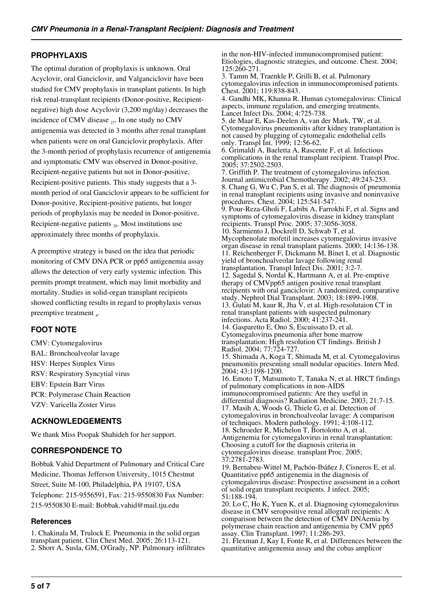# **PROPHYLAXIS**

The optimal duration of prophylaxis is unknown. Oral Acyclovir, oral Ganciclovir, and Valganciclovir have been studied for CMV prophylaxis in transplant patients. In high risk renal-transplant recipients (Donor-positive, Recipientnegative) high dose Acyclovir (3,200 mg/day) decreases the incidence of CMV disease  $_{27}$ . In one study no CMV antigenemia was detected in 3 months after renal transplant when patients were on oral Ganciclovir prophylaxis. After the 3-month period of prophylaxis recurrence of antigenemia and symptomatic CMV was observed in Donor-positive, Recipient-negative patients but not in Donor-positive, Recipient-positive patients. This study suggests that a 3 month period of oral Ganciclovir appears to be sufficient for Donor-positive, Recipient-positive patients, but longer periods of prophylaxis may be needed in Donor-positive, Recipient-negative patients  $_{28}$ . Most institutions use approximately three months of prophylaxis.

A preemptive strategy is based on the idea that periodic monitoring of CMV DNA PCR or pp65 antigenemia assay allows the detection of very early systemic infection. This permits prompt treatment, which may limit morbidity and mortality. Studies in solid-organ transplant recipients showed conflicting results in regard to prophylaxis versus preemptive treatment 4.

## **FOOT NOTE**

CMV: Cytomegalovirus BAL: Bronchoalveolar lavage HSV: Herpes Simplex Virus RSV: Respiratory Syncytial virus EBV: Epstein Barr Virus PCR: Polymerase Chain Reaction VZV: Varicella Zoster Virus

# **ACKNOWLEDGEMENTS**

We thank Miss Poopak Shahideh for her support.

# **CORRESPONDENCE TO**

Bobbak Vahid Department of Pulmonary and Critical Care Medicine, Thomas Jefferson University, 1015 Chestnut Street, Suite M-100, Philadelphia, PA 19107, USA Telephone: 215-9556591, Fax: 215-9550830 Fax Number: 215-9550830 E-mail: Bobbak.vahid@mail.tju.edu

#### **References**

1. Chakinala M, Trulock E. Pneumonia in the solid organ transplant patient. Clin Chest Med. 2005; 26:113-121. 2. Shorr A, Susla, GM, O'Grady, NP. Pulmonary infiltrates in the non-HIV-infected immunocompromised patient: Etiologies, diagnostic strategies, and outcome. Chest. 2004; 125:260-271.

3. Tamm M, Traenkle P, Grilli B, et al. Pulmonary cytomegalovirus infection in immunocompromised patients. Chest. 2001; 119:838-843.

4. Gandhi MK, Khanna R. Human cytomegalovirus: Clinical aspects, immune regulation, and emerging treatments. Lancet Infect Dis. 2004; 4:725-738.

5. de Maar E, Kas-Deelen A, van der Mark, TW, et al. Cytomegalovirus pneumonitis after kidney transplantation is not caused by plugging of cytomegalic endothelial cells only. Transpl Int. 1999; 12:56-62.

6. Grimaldi A, Baeletta A, Rascente F, et al. Infectious complications in the renal transplant recipient. Transpl Proc. 2005; 37:2502-2503.

7. Griffith P. The treatment of cytomegalovirus infection. Journal antimicrobial Chemotherapy. 2002; 49:243-253. 8. Chang G, Wu C, Pan S, et al. The diagnosis of pneumonia in renal transplant recipients using invasive and noninvasive procedures. Chest. 2004; 125:541-547. 9. Pour-Reza-Gholi F, Labibi A, Farrokhi F, et al. Signs and symptoms of cytomegalovirus disease in kidney transplant recipients. Transpl Proc. 2005; 37:3056-3058. 10. Sarmiento J, Dockrell D, Schwab T, et al. Mycophenolate mofetil increases cytomegalovirus invasive organ disease in renal transplant patients. 2000; 14:136-138. 11. Reichenberger F, Dickmann M, Binet I, et al. Diagnostic yield of bronchoalveolar lavage following renal transplantation. Transpl Infect Dis. 2001; 3:2-7. 12. Sagedal S, Nordal K, Hartmann A, et al. Pre-emptive therapy of CMVpp65 antigen positive renal transplant recipients with oral ganciclovir: A randomized, comparative study. Nephrol Dial Transplant. 2003; 18:1899-1908. 13. Gulati M, kaur R, Jha V, et al. High-resolutaion CT in renal transplant patients with suspected pulmonary infections. Acta Radiol. 2000; 41:237-241. 14. Gasparetto E, Ono S, Escuissato D, et al. Cytomegalovirus pneumonia after bone marrow transplantation: High resolution CT findings. British J Radiol. 2004; 77:724-727. 15. Shimada A, Koga T, Shimada M, et al. Cytomegalovirus pneumonitis presenting small nodular opacities. Intern Med. 2004; 43:1198-1200. 16. Emoto T, Matsumoto T, Tanaka N, et al. HRCT findings of pulmonary complications in non-AIDS immunocompromised patients: Are they useful in differential diagnosis? Radiation Medicine. 2003; 21:7-15. 17. Masih A, Woods G, Thiele G, et al. Detection of cytomegalovirus in bronchoalveolar lavage: A comparison of techniques. Modern pathology. 1991; 4:108-112. 18. Schroeder R, Michelon T, Bortolotto A, et al. Antigenemia for cytomegalovirus in renal transplantation: Choosing a cutoff for the diagnosis criteria in cytomegalovirus disease. transplant Proc. 2005; 37:2781-2783. 19. Bernabeu-Wittel M, Pachón-Ibáñez J, Cisneros E, et al. Quantitative pp65 antigenemia in the diagnosis of cytomegalovirus disease: Prospective assessment in a cohort of solid organ transplant recipients. J infect. 2005; 51:188-194. 20. Lo C, Ho K, Yuen K, et al. Diagnosing cytomegalovirus disease in CMV seropositive renal allograft recipients: A comparison between the detection of CMV DNAemia by polymerase chain reaction and antigenemia by CMV pp65 assay. Clin Transplant. 1997; 11:286-293.

21. Flexman J, Kay I, Fonte R, et al. Differences between the quantitative antigenemia assay and the cobas amplicor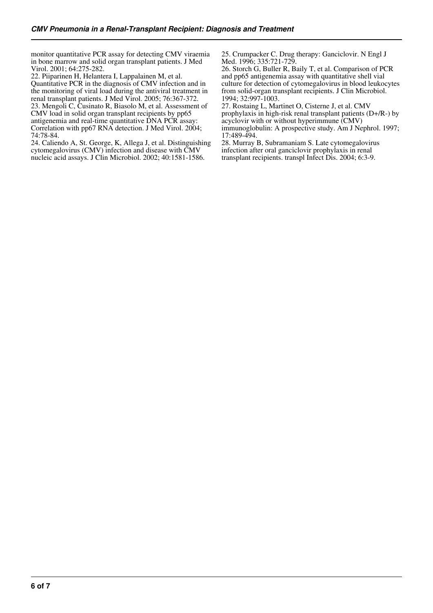monitor quantitative PCR assay for detecting CMV viraemia in bone marrow and solid organ transplant patients. J Med Virol. 2001; 64:275-282.

22. Piiparinen H, Helantera I, Lappalainen M, et al. Quantitative PCR in the diagnosis of CMV infection and in

the monitoring of viral load during the antiviral treatment in renal transplant patients. J Med Virol. 2005; 76:367-372. 23. Mengoli C, Cusinato R, Biasolo M, et al. Assessment of CMV load in solid organ transplant recipients by pp65 antigenemia and real-time quantitative DNA PCR assay: Correlation with pp67 RNA detection. J Med Virol. 2004; 74:78-84.

24. Caliendo A, St. George, K, Allega J, et al. Distinguishing cytomegalovirus (CMV) infection and disease with CMV nucleic acid assays. J Clin Microbiol. 2002; 40:1581-1586.

25. Crumpacker C. Drug therapy: Ganciclovir. N Engl J Med. 1996; 335:721-729.

26. Storch G, Buller R, Baily T, et al. Comparison of PCR and pp65 antigenemia assay with quantitative shell vial culture for detection of cytomegalovirus in blood leukocytes from solid-organ transplant recipients. J Clin Microbiol. 1994; 32:997-1003.

27. Rostaing L, Martinet O, Cisterne J, et al. CMV prophylaxis in high-risk renal transplant patients (D+/R-) by acyclovir with or without hyperimmune (CMV) immunoglobulin: A prospective study. Am J Nephrol. 1997; 17:489-494.

28. Murray B, Subramaniam S. Late cytomegalovirus infection after oral ganciclovir prophylaxis in renal transplant recipients. transpl Infect Dis. 2004; 6:3-9.